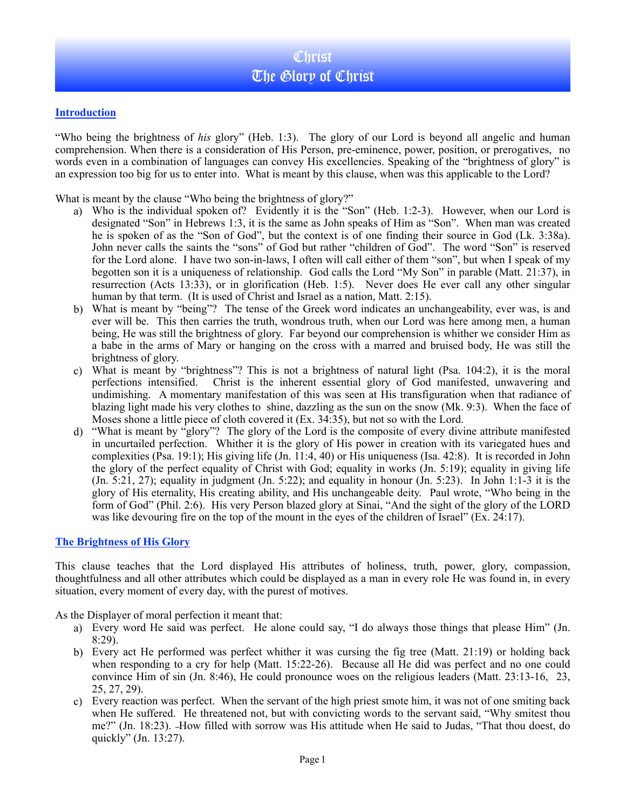## **Introduction**

"Who being the brightness of *his* glory" (Heb. 1:3). The glory of our Lord is beyond all angelic and human comprehension. When there is a consideration of His Person, pre-eminence, power, position, or prerogatives, no words even in a combination of languages can convey His excellencies. Speaking of the "brightness of glory" is an expression too big for us to enter into. What is meant by this clause, when was this applicable to the Lord?

What is meant by the clause "Who being the brightness of glory?"

- a) Who is the individual spoken of? Evidently it is the "Son" (Heb. 1:2-3). However, when our Lord is designated "Son" in Hebrews 1:3, it is the same as John speaks of Him as "Son". When man was created he is spoken of as the "Son of God", but the context is of one finding their source in God (Lk. 3:38a). John never calls the saints the "sons" of God but rather "children of God". The word "Son" is reserved for the Lord alone. I have two son-in-laws, I often will call either of them "son", but when I speak of my begotten son it is a uniqueness of relationship. God calls the Lord "My Son" in parable (Matt. 21:37), in resurrection (Acts 13:33), or in glorification (Heb. 1:5). Never does He ever call any other singular human by that term. (It is used of Christ and Israel as a nation, Matt. 2:15).
- b) What is meant by "being"? The tense of the Greek word indicates an unchangeability, ever was, is and ever will be. This then carries the truth, wondrous truth, when our Lord was here among men, a human being, He was still the brightness of glory. Far beyond our comprehension is whither we consider Him as a babe in the arms of Mary or hanging on the cross with a marred and bruised body, He was still the brightness of glory.
- c) What is meant by "brightness"? This is not a brightness of natural light (Psa. 104:2), it is the moral perfections intensified. Christ is the inherent essential glory of God manifested, unwavering and undimishing. A momentary manifestation of this was seen at His transfiguration when that radiance of blazing light made his very clothes to shine, dazzling as the sun on the snow (Mk. 9:3). When the face of Moses shone a little piece of cloth covered it (Ex. 34:35), but not so with the Lord.
- d) "What is meant by "glory"? The glory of the Lord is the composite of every divine attribute manifested in uncurtailed perfection. Whither it is the glory of His power in creation with its variegated hues and complexities (Psa. 19:1); His giving life (Jn. 11:4, 40) or His uniqueness (Isa. 42:8). It is recorded in John the glory of the perfect equality of Christ with God; equality in works (Jn. 5:19); equality in giving life  $($ Jn. 5:21, 27); equality in judgment  $($ Jn. 5:22); and equality in honour  $($ Jn. 5:23 $)$ . In John 1:1-3 it is the glory of His eternality, His creating ability, and His unchangeable deity. Paul wrote, "Who being in the form of God" (Phil. 2:6). His very Person blazed glory at Sinai, "And the sight of the glory of the LORD was like devouring fire on the top of the mount in the eyes of the children of Israel" (Ex. 24:17).

## **The Brightness of His Glory**

This clause teaches that the Lord displayed His attributes of holiness, truth, power, glory, compassion, thoughtfulness and all other attributes which could be displayed as a man in every role He was found in, in every situation, every moment of every day, with the purest of motives.

As the Displayer of moral perfection it meant that:

- a) Every word He said was perfect. He alone could say, "I do always those things that please Him" (Jn. 8:29).
- b) Every act He performed was perfect whither it was cursing the fig tree (Matt. 21:19) or holding back when responding to a cry for help (Matt. 15:22-26). Because all He did was perfect and no one could convince Him of sin (Jn. 8:46), He could pronounce woes on the religious leaders (Matt. 23:13-16, 23, 25, 27, 29).
- c) Every reaction was perfect. When the servant of the high priest smote him, it was not of one smiting back when He suffered. He threatened not, but with convicting words to the servant said, "Why smitest thou me?" (Jn. 18:23). How filled with sorrow was His attitude when He said to Judas, "That thou doest, do quickly" (Jn. 13:27).